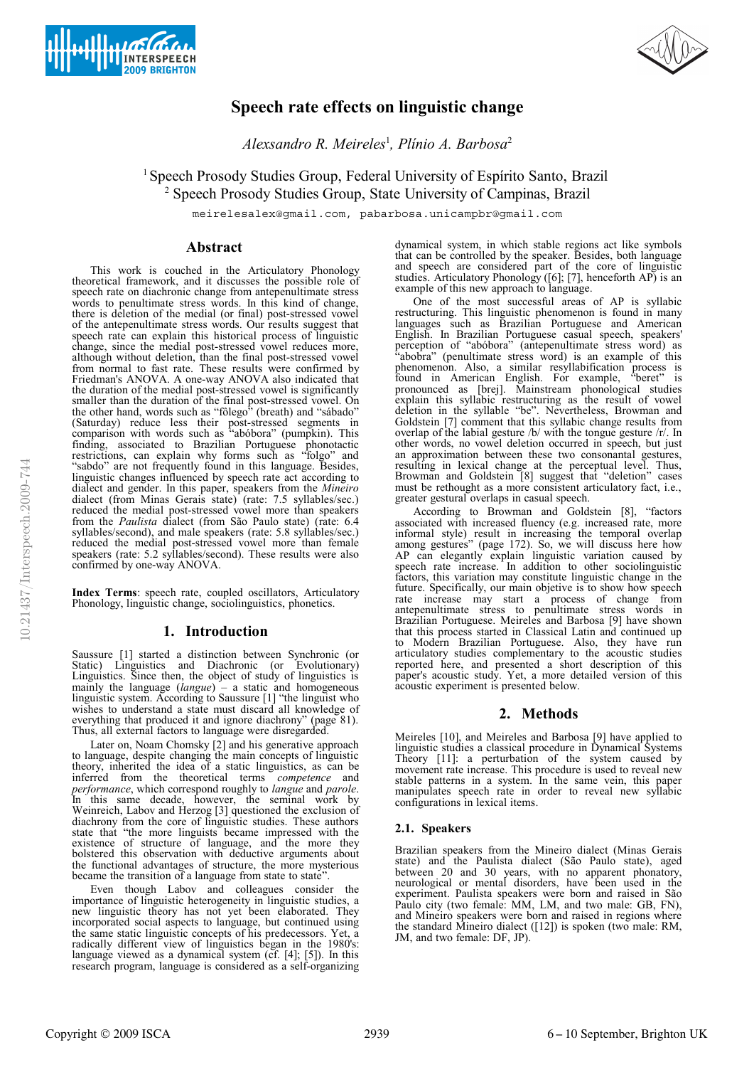



# **Speech rate effects on linguistic change**

*Alexsandro R. Meireles*<sup>1</sup> *, Plínio A. Barbosa*<sup>2</sup>

<sup>1</sup> Speech Prosody Studies Group, Federal University of Espírito Santo, Brazil <sup>2</sup> Speech Prosody Studies Group, State University of Campinas, Brazil

meirelesalex@gmail.com, pabarbosa.unicampbr@gmail.com

# **Abstract**

This work is couched in the Articulatory Phonology theoretical framework, and it discusses the possible role of speech rate on diachronic change from antepenultimate stress words to penultimate stress words. In this kind of change, there is deletion of the medial (or final) post-stressed vowel of the antepenultimate stress words. Our results suggest that speech rate can explain this historical process of linguistic change, since the medial post-stressed vowel reduces more, although without deletion, than the final post-stressed vowel from normal to fast rate. These results were confirmed by Friedman's ANOVA. A one-way ANOVA also indicated that the duration of the medial post-stressed vowel is significantly smaller than the duration of the final post-stressed vowel. On the other hand, words such as "fôlego" (breath) and "sábado" (Saturday) reduce less their post-stressed segments in comparison with words such as "abóbora" (pumpkin). This finding, associated to Brazilian Portuguese phonotactic restrictions, can explain why forms such as "folgo" and "sabdo" are not frequently found in this language. Besides, linguistic changes influenced by speech rate act according to dialect and gender. In this paper, speakers from the *Mineiro* dialect (from Minas Gerais state) (rate: 7.5 syllables/sec.) reduced the medial post-stressed vowel more than speakers from the *Paulista* dialect (from São Paulo state) (rate: 6.4 syllables/second), and male speakers (rate: 5.8 syllables/sec.) reduced the medial post-stressed vowel more than female speakers (rate: 5.2 syllables/second). These results were also confirmed by one-way ANOVA.

**Index Terms**: speech rate, coupled oscillators, Articulatory Phonology, linguistic change, sociolinguistics, phonetics.

# **1. Introduction**

Saussure [1] started a distinction between Synchronic (or Static) Linguistics and Diachronic (or Evolutionary) Linguistics. Since then, the object of study of linguistics is mainly the language (*langue*) – a static and homogeneous linguistic system. According to Saussure [1] "the linguist who wishes to understand a state must discard all knowledge of everything that produced it and ignore diachrony" (page 81). Thus, all external factors to language were disregarded.

Later on, Noam Chomsky [2] and his generative approach to language, despite changing the main concepts of linguistic theory, inherited the idea of a static linguistics, as can be inferred from the theoretical terms *competence* and *performance*, which correspond roughly to *langue* and *parole*. In this same decade, however, the seminal work by Weinreich, Labov and Herzog [3] questioned the exclusion of diachrony from the core of linguistic studies. These authors state that "the more linguists became impressed with the existence of structure of language, and the more they bolstered this observation with deductive arguments about the functional advantages of structure, the more mysterious became the transition of a language from state to state".

Even though Labov and colleagues consider the importance of linguistic heterogeneity in linguistic studies, a new linguistic theory has not yet been elaborated. They incorporated social aspects to language, but continued using the same static linguistic concepts of his predecessors. Yet, a radically different view of linguistics began in the 1980's: language viewed as a dynamical system (cf. [4]; [5]). In this research program, language is considered as a self-organizing dynamical system, in which stable regions act like symbols that can be controlled by the speaker. Besides, both language and speech are considered part of the core of linguistic studies. Articulatory Phonology ([6]; [7], henceforth AP) is an example of this new approach to language.

One of the most successful areas of AP is syllabic restructuring. This linguistic phenomenon is found in many languages such as Brazilian Portuguese and American English. In Brazilian Portuguese casual speech, speakers' perception of "abóbora" (antepenultimate stress word) as "abobra" (penultimate stress word) is an example of this phenomenon. Also, a similar resyllabification process is found in American English. For example, "beret" is pronounced as [brej]. Mainstream phonological studies explain this syllabic restructuring as the result of vowel deletion in the syllable "be". Nevertheless, Browman and Goldstein [7] comment that this syllabic change results from overlap of the labial gesture /b/ with the tongue gesture /r/. In other words, no vowel deletion occurred in speech, but just an approximation between these two consonantal gestures, resulting in lexical change at the perceptual level. Thus, Browman and Goldstein [8] suggest that "deletion" cases must be rethought as a more consistent articulatory fact, i.e., greater gestural overlaps in casual speech.

According to Browman and Goldstein [8], "factors associated with increased fluency (e.g. increased rate, more informal style) result in increasing the temporal overlap among gestures" (page 172). So, we will discuss here how AP can elegantly explain linguistic variation caused by speech rate increase. In addition to other sociolinguistic factors, this variation may constitute linguistic change in the future. Specifically, our main objetive is to show how speech rate increase may start a process of change from antepenultimate stress to penultimate stress words in Brazilian Portuguese. Meireles and Barbosa [9] have shown that this process started in Classical Latin and continued up to Modern Brazilian Portuguese. Also, they have run articulatory studies complementary to the acoustic studies reported here, and presented a short description of this paper's acoustic study. Yet, a more detailed version of this acoustic experiment is presented below.

## **2. Methods**

Meireles [10], and Meireles and Barbosa [9] have applied to linguistic studies a classical procedure in Dynamical Systems Theory [11]: a perturbation of the system caused by movement rate increase. This procedure is used to reveal new stable patterns in a system. In the same vein, this paper manipulates speech rate in order to reveal new syllabic configurations in lexical items.

## **2.1. Speakers**

Brazilian speakers from the Mineiro dialect (Minas Gerais state) and the Paulista dialect (São Paulo state), aged between 20 and 30 years, with no apparent phonatory, neurological or mental disorders, have been used in the experiment. Paulista speakers were born and raised in São Paulo city (two female: MM, LM, and two male: GB, FN), and Mineiro speakers were born and raised in regions where the standard Mineiro dialect ([12]) is spoken (two male: RM, JM, and two female: DF, JP).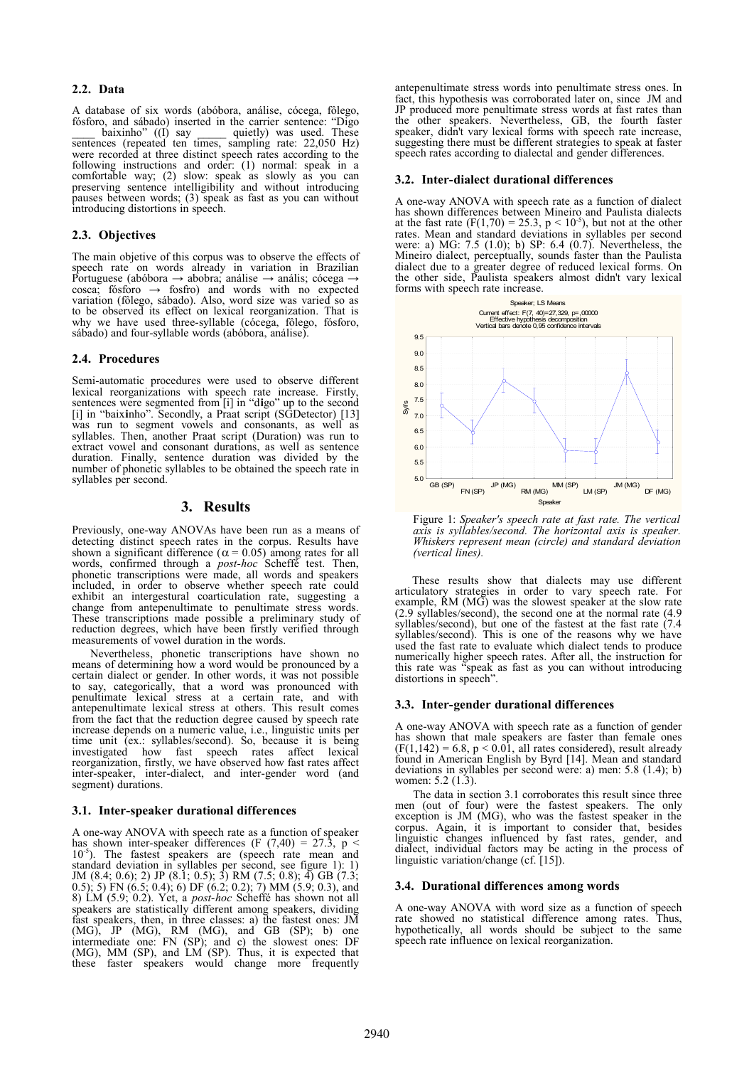## **2.2. Data**

A database of six words (abóbora, análise, cócega, fôlego, fósforo, and sábado) inserted in the carrier sentence: "Digo baixinho"  $((1)$  say  $\qquad$  quietly) was used. These sentences (repeated ten times, sampling rate: 22,050 Hz) were recorded at three distinct speech rates according to the following instructions and order: (1) normal: speak in a comfortable way; (2) slow: speak as slowly as you can preserving sentence intelligibility and without introducing pauses between words; (3) speak as fast as you can without introducing distortions in speech.

# **2.3. Objectives**

The main objetive of this corpus was to observe the effects of speech rate on words already in variation in Brazilian Portuguese (abóbora → abobra; análise → anális; cócega → cosca; fósforo  $\rightarrow$  fosfro) and words with no expected variation (fôlego, sábado). Also, word size was varied so as to be observed its effect on lexical reorganization. That is why we have used three-syllable (cócega, fôlego, fósforo, sábado) and four-syllable words (abóbora, análise).

## **2.4. Procedures**

Semi-automatic procedures were used to observe different lexical reorganizations with speech rate increase. Firstly, sentences were segmented from [i] in "d**i**go" up to the second [i] in "baix**i**nho". Secondly, a Praat script (SGDetector) [13] was run to segment vowels and consonants, as well as syllables. Then, another Praat script (Duration) was run to extract vowel and consonant durations, as well as sentence duration. Finally, sentence duration was divided by the number of phonetic syllables to be obtained the speech rate in syllables per second.

# **3. Results**

Previously, one-way ANOVAs have been run as a means of detecting distinct speech rates in the corpus. Results have shown a significant difference ( $\alpha$  = 0.05) among rates for all words, confirmed through a *post-hoc* Scheffé test. Then, phonetic transcriptions were made, all words and speakers included, in order to observe whether speech rate could exhibit an intergestural coarticulation rate, suggesting a change from antepenultimate to penultimate stress words. These transcriptions made possible a preliminary study of reduction degrees, which have been firstly verified through measurements of vowel duration in the words.

Nevertheless, phonetic transcriptions have shown no means of determining how a word would be pronounced by a certain dialect or gender. In other words, it was not possible to say, categorically, that a word was pronounced with penultimate lexical stress at a certain rate, and with antepenultimate lexical stress at others. This result comes from the fact that the reduction degree caused by speech rate increase depends on a numeric value, i.e., linguistic units per time unit (ex.: syllables/second). So, because it is being investigated how fast speech rates affect lexical reorganization, firstly, we have observed how fast rates affect inter-speaker, inter-dialect, and inter-gender word (and segment) durations.

## **3.1. Inter-speaker durational differences**

A one-way ANOVA with speech rate as a function of speaker has shown inter-speaker differences (F  $(7,40) = 27.3$ , p < 10<sup>-5</sup>). The fastest speakers are (speech rate mean and standard deviation in syllables per second, see figure 1): 1) JM (8.4; 0.6); 2) JP (8.1; 0.5); 3) RM (7.5; 0.8); 4) GB (7.3; 0.5); 5) FN (6.5; 0.4); 6) DF (6.2; 0.2); 7) MM (5.9; 0.3), and 8) LM (5.9; 0.2). Yet, a *post-hoc* Scheffé has shown not all speakers are statistically different among speakers, dividing fast speakers, then, in three classes: a) the fastest ones: JM (MG), JP (MG), RM (MG), and GB (SP); b) one intermediate one: FN (SP); and c) the slowest ones: DF (MG), MM (SP), and LM (SP). Thus, it is expected that these faster speakers would change more frequently

antepenultimate stress words into penultimate stress ones. In fact, this hypothesis was corroborated later on, since JM and JP produced more penultimate stress words at fast rates than the other speakers. Nevertheless, GB, the fourth faster speaker, didn't vary lexical forms with speech rate increase, suggesting there must be different strategies to speak at faster speech rates according to dialectal and gender differences.

#### **3.2. Inter-dialect durational differences**

A one-way ANOVA with speech rate as a function of dialect has shown differences between Mineiro and Paulista dialects at the fast rate  $(F(1,70) = 25.3, p < 10^{-5})$ , but not at the other rates. Mean and standard deviations in syllables per second were: a) MG: 7.5 (1.0); b) SP: 6.4 (0.7). Nevertheless, the Mineiro dialect, perceptually, sounds faster than the Paulista dialect due to a greater degree of reduced lexical forms. On the other side, Paulista speakers almost didn't vary lexical forms with speech rate increase.



Figure 1: *Speaker's speech rate at fast rate. The vertical axis is syllables/second. The horizontal axis is speaker. Whiskers represent mean (circle) and standard deviation (vertical lines).* 

These results show that dialects may use different articulatory strategies in order to vary speech rate. For example, RM (MG) was the slowest speaker at the slow rate (2.9 syllables/second), the second one at the normal rate (4.9 syllables/second), but one of the fastest at the fast rate (7.4 syllables/second). This is one of the reasons why we have used the fast rate to evaluate which dialect tends to produce numerically higher speech rates. After all, the instruction for this rate was "speak as fast as you can without introducing distortions in speech".

#### **3.3. Inter-gender durational differences**

A one-way ANOVA with speech rate as a function of gender has shown that male speakers are faster than female ones  $(F(1, 142) = 6.8, p < 0.01,$  all rates considered), result already found in American English by Byrd [14]. Mean and standard deviations in syllables per second were: a) men: 5.8 (1.4); b) women: 5.2 (1.3).

The data in section 3.1 corroborates this result since three men (out of four) were the fastest speakers. The only exception is JM (MG), who was the fastest speaker in the corpus. Again, it is important to consider that, besides linguistic changes influenced by fast rates, gender, and dialect, individual factors may be acting in the process of linguistic variation/change (cf. [15]).

## **3.4. Durational differences among words**

A one-way ANOVA with word size as a function of speech rate showed no statistical difference among rates. Thus, hypothetically, all words should be subject to the same speech rate influence on lexical reorganization.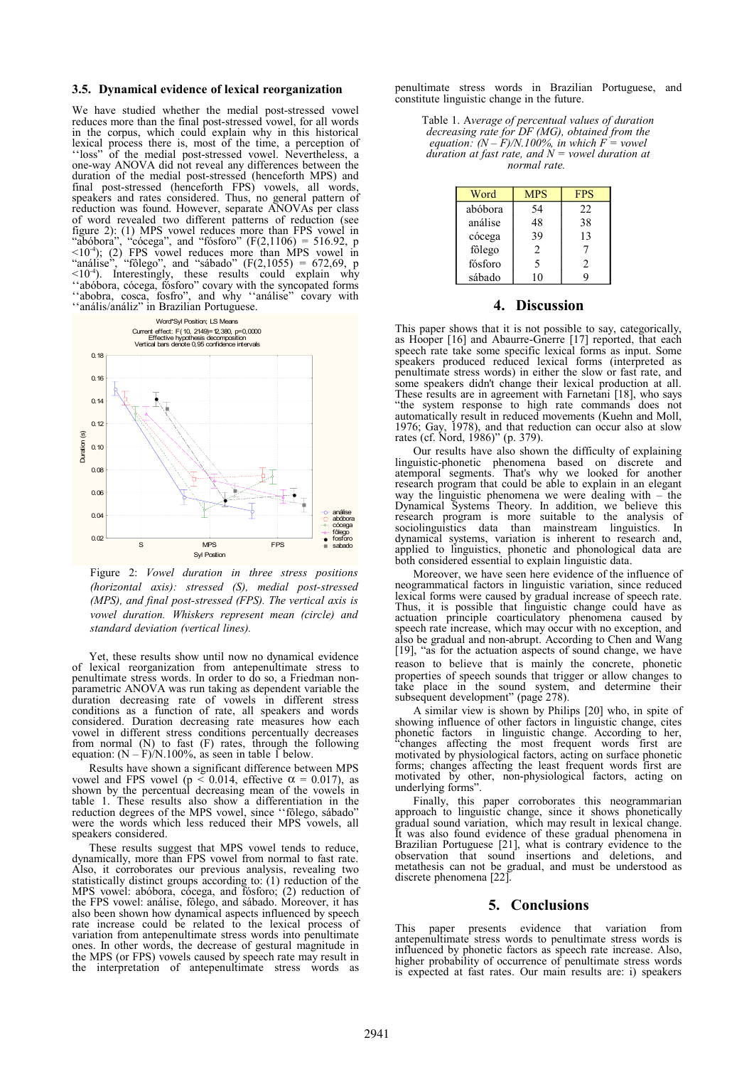#### **3.5. Dynamical evidence of lexical reorganization**

We have studied whether the medial post-stressed vowel reduces more than the final post-stressed vowel, for all words in the corpus, which could explain why in this historical lexical process there is, most of the time, a perception of ''loss" of the medial post-stressed vowel. Nevertheless, a one-way ANOVA did not reveal any differences between the duration of the medial post-stressed (henceforth MPS) and final post-stressed (henceforth FPS) vowels, all words, speakers and rates considered. Thus, no general pattern of reduction was found. However, separate ANOVAs per class of word revealed two different patterns of reduction (see figure 2): (1) MPS vowel reduces more than FPS vowel in "abóbora", "cócega", and "fósforo"  $(F(2,1106) = 516.92, p$  $\leq 10^{-4}$ ); (2) FPS vowel reduces more than MPS vowel in "análise", "fôlego", and "sábado"  $(F(2,1055) = 672,69, p$  $\leq 10^{-4}$ ). Interestingly, these results could explain why ''abóbora, cócega, fósforo" covary with the syncopated forms ''abobra, cosca, fosfro", and why ''análise" covary with ''anális/análiz" in Brazilian Portuguese.



Figure 2: *Vowel duration in three stress positions (horizontal axis): stressed (S), medial post-stressed (MPS), and final post-stressed (FPS). The vertical axis is vowel duration. Whiskers represent mean (circle) and standard deviation (vertical lines).* 

Yet, these results show until now no dynamical evidence of lexical reorganization from antepenultimate stress to penultimate stress words. In order to do so, a Friedman nonparametric ANOVA was run taking as dependent variable the duration decreasing rate of vowels in different stress conditions as a function of rate, all speakers and words considered. Duration decreasing rate measures how each vowel in different stress conditions percentually decreases from normal (N) to fast (F) rates, through the following equation:  $(N - F)/N.100\%$ , as seen in table 1 below.

Results have shown a significant difference between MPS vowel and FPS vowel ( $p \le 0.014$ , effective  $\alpha = 0.017$ ), as shown by the percentual decreasing mean of the vowels in table 1. These results also show a differentiation in the reduction degrees of the MPS vowel, since ''fôlego, sábado" were the words which less reduced their MPS vowels, all speakers considered. α

These results suggest that MPS vowel tends to reduce, dynamically, more than FPS vowel from normal to fast rate. Also, it corroborates our previous analysis, revealing two statistically distinct groups according to: (1) reduction of the MPS vowel: abóbora, cócega, and fósforo; (2) reduction of the FPS vowel: análise, fôlego, and sábado. Moreover, it has also been shown how dynamical aspects influenced by speech rate increase could be related to the lexical process of variation from antepenultimate stress words into penultimate ones. In other words, the decrease of gestural magnitude in the MPS (or FPS) vowels caused by speech rate may result in the interpretation of antepenultimate stress words as

penultimate stress words in Brazilian Portuguese, and constitute linguistic change in the future.

Table 1. A*verage of percentual values of duration decreasing rate for DF (MG), obtained from the equation:*  $(N - F)/N.100\%$ , in which  $F =$  vowel *duration at fast rate, and N = vowel duration at normal rate.* 

| Word    | MPS            | <b>FPS</b>     |
|---------|----------------|----------------|
| abóbora | 54             | 22             |
| análise | 48             | 38             |
| cócega  | 39             | 13             |
| fôlego  | $\overline{c}$ | 7              |
| fósforo | 5              | $\mathfrak{D}$ |
| sábado  | 10             | q              |

## **4. Discussion**

This paper shows that it is not possible to say, categorically, as Hooper [16] and Abaurre-Gnerre [17] reported, that each speech rate take some specific lexical forms as input. Some speakers produced reduced lexical forms (interpreted as penultimate stress words) in either the slow or fast rate, and some speakers didn't change their lexical production at all. These results are in agreement with Farnetani [18], who says "the system response to high rate commands does not automatically result in reduced movements (Kuehn and Moll, 1976; Gay, 1978), and that reduction can occur also at slow rates (cf. Nord, 1986)" (p. 379).

Our results have also shown the difficulty of explaining linguistic-phonetic phenomena based on discrete and atemporal segments. That's why we looked for another research program that could be able to explain in an elegant way the linguistic phenomena we were dealing with – the Dynamical Systems Theory. In addition, we believe this research program is more suitable to the analysis of sociolinguistics data than mainstream linguistics. In dynamical systems, variation is inherent to research and, applied to linguistics, phonetic and phonological data are both considered essential to explain linguistic data.

Moreover, we have seen here evidence of the influence of neogrammatical factors in linguistic variation, since reduced lexical forms were caused by gradual increase of speech rate. Thus, it is possible that linguistic change could have as actuation principle coarticulatory phenomena caused by speech rate increase, which may occur with no exception, and also be gradual and non-abrupt. According to Chen and Wang [19], "as for the actuation aspects of sound change, we have reason to believe that is mainly the concrete, phonetic properties of speech sounds that trigger or allow changes to take place in the sound system, and determine their subsequent development" (page 278).

A similar view is shown by Philips [20] who, in spite of showing influence of other factors in linguistic change, cites phonetic factors in linguistic change. According to her, "changes affecting the most frequent words first are motivated by physiological factors, acting on surface phonetic forms; changes affecting the least frequent words first are motivated by other, non-physiological factors, acting on underlying forms".

Finally, this paper corroborates this neogrammarian approach to linguistic change, since it shows phonetically gradual sound variation, which may result in lexical change. It was also found evidence of these gradual phenomena in Brazilian Portuguese [21], what is contrary evidence to the observation that sound insertions and deletions, and metathesis can not be gradual, and must be understood as discrete phenomena [22].

## **5. Conclusions**

This paper presents evidence that variation from antepenultimate stress words to penultimate stress words is influenced by phonetic factors as speech rate increase. Also, higher probability of occurrence of penultimate stress words is expected at fast rates. Our main results are: i) speakers